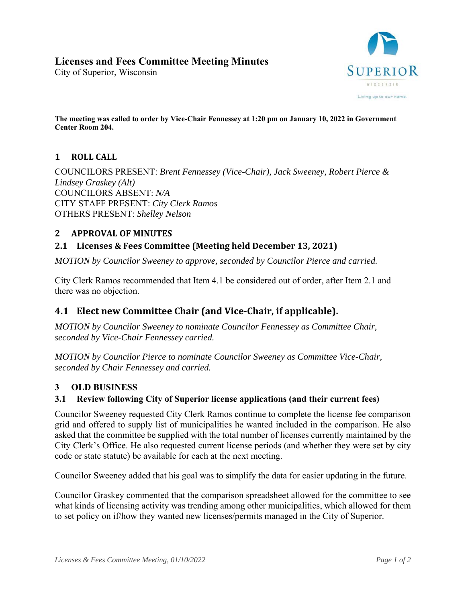City of Superior, Wisconsin



**The meeting was called to order by Vice-Chair Fennessey at 1:20 pm on January 10, 2022 in Government Center Room 204.** 

# 1 **ROLL** CALL

COUNCILORS PRESENT: *Brent Fennessey (Vice-Chair), Jack Sweeney, Robert Pierce & Lindsey Graskey (Alt)*  COUNCILORS ABSENT: *N/A* CITY STAFF PRESENT: *City Clerk Ramos* OTHERS PRESENT: *Shelley Nelson*

# **2 APPROVAL OF MINUTES**

# **2.1 Licenses & Fees Committee (Meeting held December 13, 2021)**

*MOTION by Councilor Sweeney to approve, seconded by Councilor Pierce and carried.* 

City Clerk Ramos recommended that Item 4.1 be considered out of order, after Item 2.1 and there was no objection.

# **4.1 Elect new Committee Chair (and Vice‐Chair, if applicable).**

*MOTION by Councilor Sweeney to nominate Councilor Fennessey as Committee Chair, seconded by Vice-Chair Fennessey carried.* 

*MOTION by Councilor Pierce to nominate Councilor Sweeney as Committee Vice-Chair, seconded by Chair Fennessey and carried.* 

## **3 OLD BUSINESS**

## **3.1 Review following City of Superior license applications (and their current fees)**

Councilor Sweeney requested City Clerk Ramos continue to complete the license fee comparison grid and offered to supply list of municipalities he wanted included in the comparison. He also asked that the committee be supplied with the total number of licenses currently maintained by the City Clerk's Office. He also requested current license periods (and whether they were set by city code or state statute) be available for each at the next meeting.

Councilor Sweeney added that his goal was to simplify the data for easier updating in the future.

Councilor Graskey commented that the comparison spreadsheet allowed for the committee to see what kinds of licensing activity was trending among other municipalities, which allowed for them to set policy on if/how they wanted new licenses/permits managed in the City of Superior.